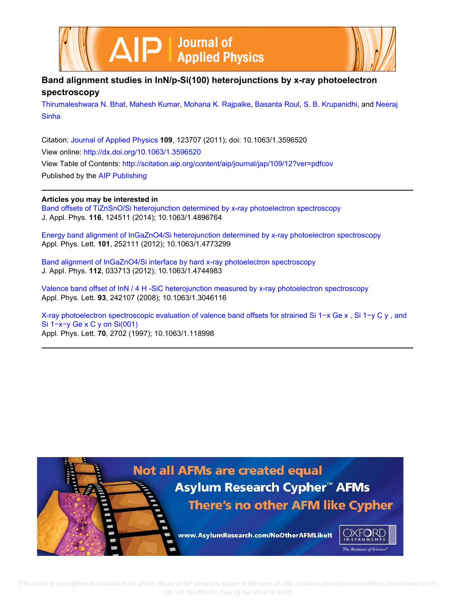



# **Band alignment studies in InN/p-Si(100) heterojunctions by x-ray photoelectron spectroscopy**

Thirumaleshwara N. Bhat, Mahesh Kumar, Mohana K. Rajpalke, Basanta Roul, S. B. Krupanidhi, and Neeraj **Sinha** 

Citation: Journal of Applied Physics **109**, 123707 (2011); doi: 10.1063/1.3596520 View online: http://dx.doi.org/10.1063/1.3596520 View Table of Contents: http://scitation.aip.org/content/aip/journal/jap/109/12?ver=pdfcov Published by the AIP Publishing

## **Articles you may be interested in**

Band offsets of TiZnSnO/Si heterojunction determined by x-ray photoelectron spectroscopy J. Appl. Phys. **116**, 124511 (2014); 10.1063/1.4896764

Energy band alignment of InGaZnO4/Si heterojunction determined by x-ray photoelectron spectroscopy Appl. Phys. Lett. **101**, 252111 (2012); 10.1063/1.4773299

Band alignment of InGaZnO4/Si interface by hard x-ray photoelectron spectroscopy J. Appl. Phys. **112**, 033713 (2012); 10.1063/1.4744983

Valence band offset of InN / 4 H -SiC heterojunction measured by x-ray photoelectron spectroscopy Appl. Phys. Lett. **93**, 242107 (2008); 10.1063/1.3046116

X-ray photoelectron spectroscopic evaluation of valence band offsets for strained Si 1−x Ge x , Si 1−y C y , and Si 1−x−y Ge x C y on Si(001) Appl. Phys. Lett. **70**, 2702 (1997); 10.1063/1.118998

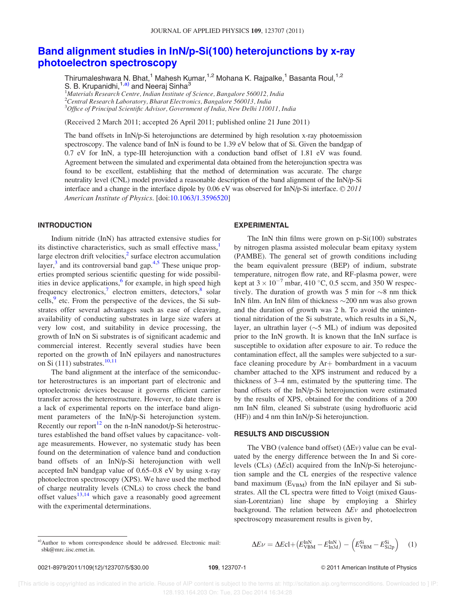# Band alignment studies in InN/p-Si(100) heterojunctions by x-ray photoelectron spectroscopy

Thirumaleshwara N. Bhat,<sup>1</sup> Mahesh Kumar,<sup>1,2</sup> Mohana K. Rajpalke,<sup>1</sup> Basanta Roul,<sup>1,2</sup> S. B. Krupanidhi,<sup>1,a)</sup> and Neeraj Sinha<sup>3</sup>

 $1$ Materials Research Centre, Indian Institute of Science, Bangalore 560012, India  $^{2}$ Central Research Laboratory, Bharat Electronics, Bangalore 560013, India  $^3$ Office of Principal Scientific Advisor, Government of India, New Delhi 110011, India

(Received 2 March 2011; accepted 26 April 2011; published online 21 June 2011)

The band offsets in InN/p-Si heterojunctions are determined by high resolution x-ray photoemission spectroscopy. The valence band of InN is found to be 1.39 eV below that of Si. Given the bandgap of 0.7 eV for InN, a type-III heterojunction with a conduction band offset of 1.81 eV was found. Agreement between the simulated and experimental data obtained from the heterojunction spectra was found to be excellent, establishing that the method of determination was accurate. The charge neutrality level (CNL) model provided a reasonable description of the band alignment of the InN/p-Si interface and a change in the interface dipole by 0.06 eV was observed for InN/p-Si interface.  $\odot$  2011 American Institute of Physics. [doi:10.1063/1.3596520]

## INTRODUCTION

Indium nitride (InN) has attracted extensive studies for its distinctive characteristics, such as small effective mass,<sup>1</sup> large electron drift velocities, $<sup>2</sup>$  surface electron accumulation</sup> layer, $3$  and its controversial band gap. $4,5$  These unique properties prompted serious scientific questing for wide possibilities in device applications,<sup>6</sup> for example, in high speed high frequency electronics,<sup>7</sup> electron emitters, detectors,<sup>8</sup> solar cells,<sup>9</sup> etc. From the perspective of the devices, the Si substrates offer several advantages such as ease of cleaving, availability of conducting substrates in large size wafers at very low cost, and suitability in device processing, the growth of InN on Si substrates is of significant academic and commercial interest. Recently several studies have been reported on the growth of InN epilayers and nanostructures on Si  $(111)$  substrates.<sup>10,11</sup>

The band alignment at the interface of the semiconductor heterostructures is an important part of electronic and optoelectronic devices because it governs efficient carrier transfer across the heterostructure. However, to date there is a lack of experimental reports on the interface band alignment parameters of the InN/p-Si heterojunction system. Recently our report<sup>12</sup> on the n-InN nanodot/p-Si heterostructures established the band offset values by capacitance- voltage measurements. However, no systematic study has been found on the determination of valence band and conduction band offsets of an InN/p-Si heterojunction with well accepted InN bandgap value of 0.65–0.8 eV by using x-ray photoelectron spectroscopy (XPS). We have used the method of charge neutrality levels (CNLs) to cross check the band offset values $13,14$  which gave a reasonably good agreement with the experimental determinations.

### EXPERIMENTAL

The InN thin films were grown on  $p-Si(100)$  substrates by nitrogen plasma assisted molecular beam epitaxy system (PAMBE). The general set of growth conditions including the beam equivalent pressure (BEP) of indium, substrate temperature, nitrogen flow rate, and RF-plasma power, were kept at  $3 \times 10^{-7}$  mbar, 410 °C, 0.5 sccm, and 350 W respectively. The duration of growth was 5 min for  $\sim$ 8 nm thick InN film. An InN film of thickness  $\sim$ 200 nm was also grown and the duration of growth was 2 h. To avoid the unintentional nitridation of the Si substrate, which results in a  $Si_xN_y$ layer, an ultrathin layer ( $\sim$ 5 ML) of indium was deposited prior to the InN growth. It is known that the InN surface is susceptible to oxidation after exposure to air. To reduce the contamination effect, all the samples were subjected to a surface cleaning procedure by  $Ar+$  bombardment in a vacuum chamber attached to the XPS instrument and reduced by a thickness of 3–4 nm, estimated by the sputtering time. The band offsets of the InN/p-Si heterojunction were estimated by the results of XPS, obtained for the conditions of a 200 nm InN film, cleaned Si substrate (using hydrofluoric acid (HF)) and 4 nm thin InN/p-Si heterojunction.

### RESULTS AND DISCUSSION

The VBO (valence band offset) ( $\Delta Ev$ ) value can be evaluated by the energy difference between the In and Si corelevels (CLs) ( $\Delta E$ cl) acquired from the InN/p-Si heterojunction sample and the CL energies of the respective valence band maximum  $(E_{VBM})$  from the InN epilayer and Si substrates. All the CL spectra were fitted to Voigt (mixed Gaussian-Lorentzian) line shape by employing a Shirley background. The relation between  $\Delta Ev$  and photoelectron spectroscopy measurement results is given by,

<sup>a)</sup>Author to whom correspondence should be addressed. Electronic mail: 
$$
\Delta E\nu = \Delta E\text{cl} + (E_{\text{VBM}}^{\text{InN}} - E_{\text{In3d}}^{\text{InN}}) - (E_{\text{VBM}}^{\text{Si}} - E_{\text{Si2p}}^{\text{Si}})
$$
 (1)

sbk@mrc.iisc.ernet.in.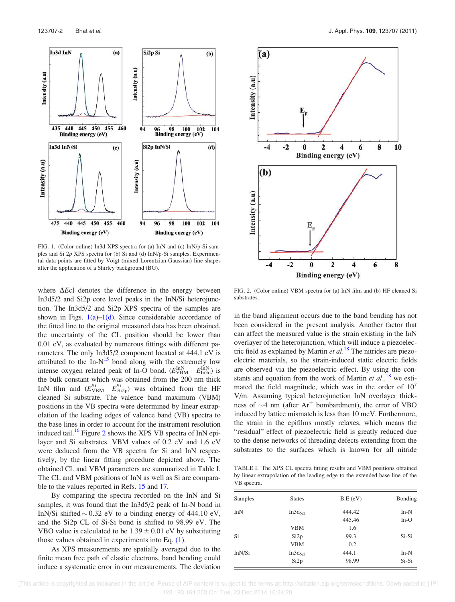

FIG. 1. (Color online) In3d XPS spectra for (a) InN and (c) InN/p-Si samples and Si 2p XPS spectra for (b) Si and (d) InN/p-Si samples. Experimental data points are fitted by Voigt (mixed Lorentzian-Gaussian) line shapes after the application of a Shirley background (BG).

where  $\Delta E$ cl denotes the difference in the energy between In3d5/2 and Si2p core level peaks in the InN/Si heterojunction. The In3d5/2 and Si2p XPS spectra of the samples are shown in Figs.  $1(a)$ – $1(d)$ . Since considerable accordance of the fitted line to the original measured data has been obtained, the uncertainty of the CL position should be lower than 0.01 eV, as evaluated by numerous fittings with different parameters. The only In3d5/2 component located at 444.1 eV is attributed to the  $In-N^{15}$  bond along with the extremely low intense oxygen related peak of In-O bond.  $(E_{VBM}^{InN} - E_{In3d}^{InN})$  is the bulk constant which was obtained from the 200 nm thick InN film and  $(E_{VBM}^{Si} - E_{Si2p}^{Si})$  was obtained from the HF cleaned Si substrate. The valence band maximum (VBM) positions in the VB spectra were determined by linear extrapolation of the leading edges of valence band (VB) spectra to the base lines in order to account for the instrument resolution induced tail.<sup>16</sup> Figure 2 shows the XPS VB spectra of InN epilayer and Si substrates. VBM values of 0.2 eV and 1.6 eV were deduced from the VB spectra for Si and InN respectively, by the linear fitting procedure depicted above. The obtained CL and VBM parameters are summarized in Table I. The CL and VBM positions of InN as well as Si are comparable to the values reported in Refs. 15 and 17.

By comparing the spectra recorded on the InN and Si samples, it was found that the In3d5/2 peak of In-N bond in InN/Si shifted  $\sim$  0.32 eV to a binding energy of 444.10 eV, and the Si2p CL of Si-Si bond is shifted to 98.99 eV. The VBO value is calculated to be  $1.39 \pm 0.01$  eV by substituting those values obtained in experiments into Eq. (1).

As XPS measurements are spatially averaged due to the finite mean free path of elastic electrons, band bending could induce a systematic error in our measurements. The deviation



FIG. 2. (Color online) VBM spectra for (a) InN film and (b) HF cleaned Si substrates.

in the band alignment occurs due to the band bending has not been considered in the present analysis. Another factor that can affect the measured value is the strain existing in the InN overlayer of the heterojunction, which will induce a piezoelectric field as explained by Martin *et al.*<sup>18</sup> The nitrides are piezoelectric materials, so the strain-induced static electric fields are observed via the piezoelectric effect. By using the constants and equation from the work of Martin et  $al.$ <sup>18</sup>, we estimated the field magnitude, which was in the order of  $10<sup>7</sup>$ V/m. Assuming typical heterojunction InN overlayer thickness of  $\sim$ 4 nm (after Ar<sup>+</sup> bombardment), the error of VBO induced by lattice mismatch is less than 10 meV. Furthermore, the strain in the epifilms mostly relaxes, which means the "residual" effect of piezoelectric field is greatly reduced due to the dense networks of threading defects extending from the substrates to the surfaces which is known for all nitride

TABLE I. The XPS CL spectra fitting results and VBM positions obtained by linear extrapolation of the leading edge to the extended base line of the VB spectra.

| Samples | <b>States</b>       | B.E(eV) | Bonding |
|---------|---------------------|---------|---------|
| InN     | In3d <sub>5/2</sub> | 444.42  | $In-N$  |
|         |                     | 445.46  | $In-O$  |
|         | <b>VBM</b>          | 1.6     |         |
| Si      | Si2p                | 99.3    | $Si-Si$ |
|         | <b>VBM</b>          | 0.2     |         |
| InN/Si  | $In3d_{5/2}$        | 444.1   | $In-N$  |
|         | Si <sub>2p</sub>    | 98.99   | Si-Si   |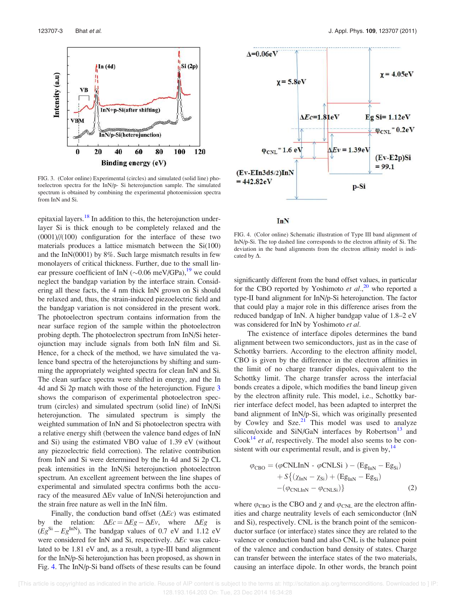

FIG. 3. (Color online) Experimental (circles) and simulated (solid line) photoelectron spectra for the InN/p- Si heterojunction sample. The simulated spectrum is obtained by combining the experimental photoemission spectra from InN and Si.

epitaxial layers.<sup>18</sup> In addition to this, the heterojunction underlayer Si is thick enough to be completely relaxed and the (0001)//(100) configuration for the interface of these two materials produces a lattice mismatch between the  $Si(100)$ and the InN(0001) by 8%. Such large mismatch results in few monolayers of critical thickness. Further, due to the small linear pressure coefficient of InN ( $\sim$ 0.06 meV/GPa),<sup>19</sup> we could neglect the bandgap variation by the interface strain. Considering all these facts, the 4 nm thick InN grown on Si should be relaxed and, thus, the strain-induced piezoelectric field and the bandgap variation is not considered in the present work. The photoelectron spectrum contains information from the near surface region of the sample within the photoelectron probing depth. The photoelectron spectrum from InN/Si heterojunction may include signals from both InN film and Si. Hence, for a check of the method, we have simulated the valence band spectra of the heterojunctions by shifting and summing the appropriately weighted spectra for clean InN and Si. The clean surface spectra were shifted in energy, and the In 4d and Si 2p match with those of the heterojunction. Figure 3 shows the comparison of experimental photoelectron spectrum (circles) and simulated spectrum (solid line) of InN/Si heterojunction. The simulated spectrum is simply the weighted summation of InN and Si photoelectron spectra with a relative energy shift (between the valence band edges of InN and Si) using the estimated VBO value of 1.39 eV (without any piezoelectric field correction). The relative contribution from InN and Si were determined by the In 4d and Si 2p CL peak intensities in the InN/Si heterojunction photoelectron spectrum. An excellent agreement between the line shapes of experimental and simulated spectra confirms both the accuracy of the measured  $\Delta$ Ev value of InN/Si heterojunction and the strain free nature as well in the InN film.

Finally, the conduction band offset  $(\Delta E_c)$  was estimated by the relation:  $\Delta Ec = \Delta Eg - \Delta Ev$ , where  $\Delta Eg$  is  $(Eg^{\text{Si}}-Eg^{\text{InN}})$ . The bandgap values of 0.7 eV and 1.12 eV were considered for InN and Si, respectively.  $\Delta E_c$  was calculated to be 1.81 eV and, as a result, a type-III band alignment for the InN/p-Si heterojunction has been proposed, as shown in Fig. 4. The InN/p-Si band offsets of these results can be found



**InN** 

FIG. 4. (Color online) Schematic illustration of Type III band alignment of InN/p-Si. The top dashed line corresponds to the electron affinity of Si. The deviation in the band alignments from the electron affinity model is indicated by  $\Delta$ .

significantly different from the band offset values, in particular for the CBO reported by Yoshimoto et al.,<sup>20</sup> who reported a type-II band alignment for InN/p-Si heterojunction. The factor that could play a major role in this difference arises from the reduced bandgap of InN. A higher bandgap value of 1.8–2 eV was considered for InN by Yoshimoto et al.

The existence of interface dipoles determines the band alignment between two semiconductors, just as in the case of Schottky barriers. According to the electron affinity model, CBO is given by the difference in the electron affinities in the limit of no charge transfer dipoles, equivalent to the Schottky limit. The charge transfer across the interfacial bonds creates a dipole, which modifies the band lineup given by the electron affinity rule. This model, i.e., Schottky barrier interface defect model, has been adapted to interpret the band alignment of InN/p-Si, which was originally presented by Cowley and  $Sze<sup>21</sup>$  This model was used to analyze silicon/oxide and SiN/GaN interfaces by Robertson $13$  and  $Cook<sup>14</sup>$  *et al*, respectively. The model also seems to be consistent with our experimental result, and is given by, $14$ 

$$
\varphi_{\text{CBO}} = (\varphi \text{CNLInN} - \varphi \text{CNLSi}) - (\text{Eg}_{\text{InN}} - \text{Eg}_{\text{Si}})
$$

$$
+ S\{(\chi_{\text{InN}} - \chi_{\text{Si}}) + (\text{Eg}_{\text{InN}} - \text{Eg}_{\text{Si}})
$$

$$
-(\varphi_{\text{CNLInN}} - \varphi_{\text{CNLSi}})\}
$$
(2)

where  $\varphi_{\text{CBO}}$  is the CBO and  $\chi$  and  $\varphi_{\text{CNL}}$  are the electron affinities and charge neutrality levels of each semiconductor (InN and Si), respectively. CNL is the branch point of the semiconductor surface (or interface) states since they are related to the valence or conduction band and also CNL is the balance point of the valence and conduction band density of states. Charge can transfer between the interface states of the two materials, causing an interface dipole. In other words, the branch point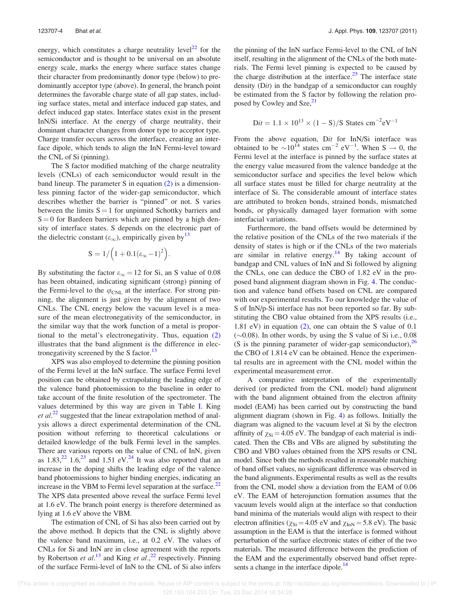energy, which constitutes a charge neutrality level<sup>22</sup> for the semiconductor and is thought to be universal on an absolute energy scale, marks the energy where surface states change their character from predominantly donor type (below) to predominantly acceptor type (above). In general, the branch point determines the favorable charge state of all gap states, including surface states, metal and interface induced gap states, and defect induced gap states. Interface states exist in the present InN/Si interface. At the energy of charge neutrality, their dominant character changes from donor type to acceptor type. Charge transfer occurs across the interface, creating an interface dipole, which tends to align the InN Fermi-level toward the CNL of Si (pinning).

The S factor modified matching of the charge neutrality levels (CNLs) of each semiconductor would result in the band lineup. The parameter S in equation  $(2)$  is a dimensionless pinning factor of the wider-gap semiconductor, which describes whether the barrier is "pinned" or not. S varies between the limits  $S = 1$  for unpinned Schottky barriers and  $S = 0$  for Bardeen barriers which are pinned by a high density of interface states. S depends on the electronic part of the dielectric constant  $(\varepsilon_{\infty})$ , empirically given by<sup>13</sup>

$$
S=1/\Big(1+0.1(\epsilon_{\infty}-1)^2\Big).
$$

By substituting the factor  $\varepsilon_{\infty} = 12$  for Si, an S value of 0.08 has been obtained, indicating significant (strong) pinning of the Fermi-level to the  $\varphi_{\text{CNL}}$  at the interface. For strong pinning, the alignment is just given by the alignment of two CNLs. The CNL energy below the vacuum level is a measure of the mean electronegativity of the semiconductor, in the similar way that the work function of a metal is proportional to the metal's electronegativity. Thus, equation (2) illustrates that the band alignment is the difference in electronegativity screened by the S factor.<sup>13</sup>

XPS was also employed to determine the pinning position of the Fermi level at the InN surface. The surface Fermi level position can be obtained by extrapolating the leading edge of the valence band photoemission to the baseline in order to take account of the finite resolution of the spectrometer. The values determined by this way are given in Table I. King  $et al.<sup>22</sup> suggested that the linear extrapolation method of anal$ ysis allows a direct experimental determination of the CNL position without referring to theoretical calculations or detailed knowledge of the bulk Fermi level in the samples. There are various reports on the value of CNL of InN, given as  $1.83<sup>22</sup>$ ,  $1.6<sup>23</sup>$  and  $1.51$  eV.<sup>24</sup> It was also reported that an increase in the doping shifts the leading edge of the valence band photoemissions to higher binding energies, indicating an increase in the VBM to Fermi level separation at the surface. $^{22}$ The XPS data presented above reveal the surface Fermi level at 1.6 eV. The branch point energy is therefore determined as lying at 1.6 eV above the VBM.

The estimation of CNL of Si has also been carried out by the above method. It depicts that the CNL is slightly above the valence band maximum, i.e., at 0.2 eV. The values of CNLs for Si and InN are in close agreement with the reports by Robertson et al.<sup>13</sup> and King et al.,<sup>22</sup> respectively. Pinning of the surface Fermi-level of InN to the CNL of Si also infers the pinning of the InN surface Fermi-level to the CNL of InN itself, resulting in the alignment of the CNLs of the both materials. The Fermi level pinning is expected to be caused by the charge distribution at the interface.<sup>25</sup> The interface state density (Dit) in the bandgap of a semiconductor can roughly be estimated from the S factor by following the relation proposed by Cowley and Sze,<sup>21</sup>

$$
Dit = 1.1 \times 10^{13} \times (1 - S)/S
$$
 States cm<sup>-2</sup>eV<sup>-1</sup>

From the above equation, Dit for InN/Si interface was obtained to be  $\sim 10^{14}$  states cm<sup>-2</sup> eV<sup>-1</sup>. When S  $\rightarrow 0$ , the Fermi level at the interface is pinned by the surface states at the energy value measured from the valence bandedge at the semiconductor surface and specifies the level below which all surface states must be filled for charge neutrality at the interface of Si. The considerable amount of interface states are attributed to broken bonds, strained bonds, mismatched bonds, or physically damaged layer formation with some interfacial variations.

Furthermore, the band offsets would be determined by the relative position of the CNLs of the two materials if the density of states is high or if the CNLs of the two materials are similar in relative energy.<sup>14</sup> By taking account of bandgap and CNL values of InN and Si followed by aligning the CNLs, one can deduce the CBO of 1.82 eV in the proposed band alignment diagram shown in Fig. 4. The conduction and valence band offsets based on CNL are compared with our experimental results. To our knowledge the value of S of InN/p-Si interface has not been reported so far. By substituting the CBO value obtained from the XPS results (i.e., 1.81 eV) in equation (2), one can obtain the S value of 0.1  $(\sim 0.08)$ . In other words, by using the S value of Si i.e., 0.08 (S is the pinning parameter of wider-gap semiconductor),  $^{26}$ the CBO of 1.814 eV can be obtained. Hence the experimental results are in agreement with the CNL model within the experimental measurement error.

A comparative interpretation of the experimentally derived (or predicted from the CNL model) band alignment with the band alignment obtained from the electron affinity model (EAM) has been carried out by constructing the band alignment diagram (shown in Fig. 4) as follows. Initially the diagram was aligned to the vacuum level at Si by the electron affinity of  $\chi_{\text{Si}} = 4.05$  eV. The bandgap of each material is indicated. Then the CBs and VBs are aligned by substituting the CBO and VBO values obtained from the XPS results or CNL model. Since both the methods resulted in reasonable matching of band offset values, no significant difference was observed in the band alignments. Experimental results as well as the results from the CNL model show a deviation from the EAM of 0.06 eV. The EAM of heterojunction formation assumes that the vacuum levels would align at the interface so that conduction band minima of the materials would align with respect to their electron affinities ( $\chi_{Si}$  = 4.05 eV and  $\chi_{InN}$  = 5.8 eV). The basic assumption in the EAM is that the interface is formed without perturbation of the surface electronic states of either of the two materials. The measured difference between the prediction of the EAM and the experimentally observed band offset represents a change in the interface dipole.<sup>14</sup>